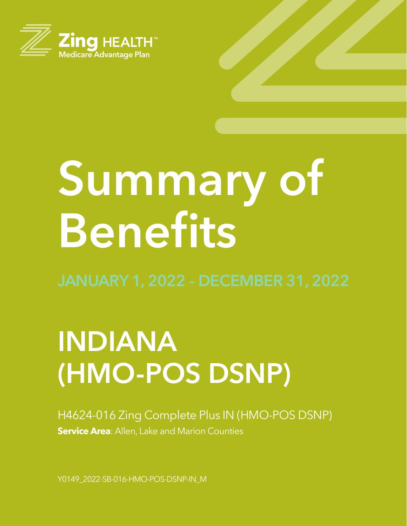

# **Summary of Benefits**

# **INDIANA (HMO-POS DSNP)**

H4624-016 Zing Complete Plus IN (HMO-POS DSNP) **Service Area**: Allen, Lake and Marion Counties

Y0149\_2022-SB-016-HMO-POS-DSNP-IN\_M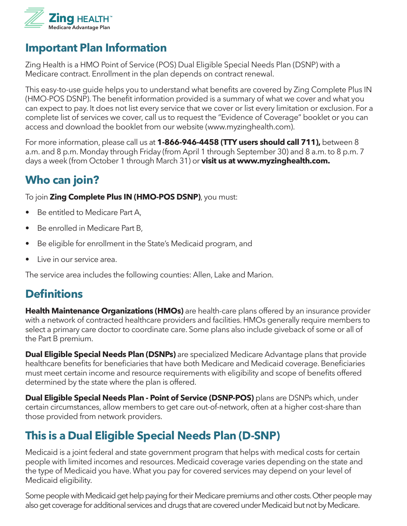

# **Important Plan Information**

Zing Health is a HMO Point of Service (POS) Dual Eligible Special Needs Plan (DSNP) with a Medicare contract. Enrollment in the plan depends on contract renewal.

This easy-to-use guide helps you to understand what benefits are covered by Zing Complete Plus IN (HMO-POS DSNP). The benefit information provided is a summary of what we cover and what you can expect to pay. It does not list every service that we cover or list every limitation or exclusion. For a complete list of services we cover, call us to request the "Evidence of Coverage" booklet or you can access and download the booklet from our website (www.myzinghealth.com).

For more information, please call us at **1-866-946-4458 (TTY users should call 711),** between 8 a.m. and 8 p.m. Monday through Friday (from April 1 through September 30) and 8 a.m. to 8 p.m. 7 days a week (from October 1 through March 31) or **visit us at www.myzinghealth.com.**

# **Who can join?**

To join **Zing Complete Plus IN (HMO-POS DSNP)**, you must:

- Be entitled to Medicare Part A,
- Be enrolled in Medicare Part B,
- Be eligible for enrollment in the State's Medicaid program, and
- Live in our service area.

The service area includes the following counties: Allen, Lake and Marion.

# **Definitions**

**Health Maintenance Organizations (HMOs)** are health-care plans offered by an insurance provider with a network of contracted healthcare providers and facilities. HMOs generally require members to select a primary care doctor to coordinate care. Some plans also include giveback of some or all of the Part B premium.

**Dual Eligible Special Needs Plan (DSNPs)** are specialized Medicare Advantage plans that provide healthcare benefits for beneficiaries that have both Medicare and Medicaid coverage. Beneficiaries must meet certain income and resource requirements with eligibility and scope of benefits offered determined by the state where the plan is offered.

**Dual Eligible Special Needs Plan - Point of Service (DSNP-POS)** plans are DSNPs which, under certain circumstances, allow members to get care out-of-network, often at a higher cost-share than those provided from network providers.

# **This is a Dual Eligible Special Needs Plan (D-SNP)**

Medicaid is a joint federal and state government program that helps with medical costs for certain people with limited incomes and resources. Medicaid coverage varies depending on the state and the type of Medicaid you have. What you pay for covered services may depend on your level of Medicaid eligibility.

Some people with Medicaid get help paying for their Medicare premiums and other costs. Other people may also get coverage for additional services and drugs that are covered under Medicaid but not by Medicare.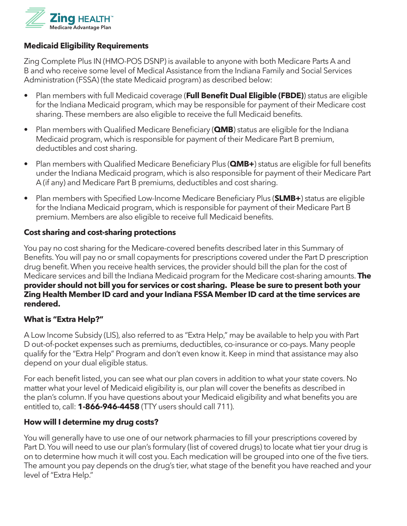

#### **Medicaid Eligibility Requirements**

Zing Complete Plus IN (HMO-POS DSNP) is available to anyone with both Medicare Parts A and B and who receive some level of Medical Assistance from the Indiana Family and Social Services Administration (FSSA) (the state Medicaid program) as described below:

- Plan members with full Medicaid coverage (**Full Benefit Dual Eligible (FBDE)**) status are eligible for the Indiana Medicaid program, which may be responsible for payment of their Medicare cost sharing. These members are also eligible to receive the full Medicaid benefits.
- Plan members with Qualified Medicare Beneficiary (**QMB**) status are eligible for the Indiana Medicaid program, which is responsible for payment of their Medicare Part B premium, deductibles and cost sharing.
- Plan members with Qualified Medicare Beneficiary Plus (**QMB+**) status are eligible for full benefits under the Indiana Medicaid program, which is also responsible for payment of their Medicare Part A (if any) and Medicare Part B premiums, deductibles and cost sharing.
- Plan members with Specified Low-Income Medicare Beneficiary Plus (**SLMB+**) status are eligible for the Indiana Medicaid program, which is responsible for payment of their Medicare Part B premium. Members are also eligible to receive full Medicaid benefits.

#### **Cost sharing and cost-sharing protections**

You pay no cost sharing for the Medicare-covered benefits described later in this Summary of Benefits. You will pay no or small copayments for prescriptions covered under the Part D prescription drug benefit. When you receive health services, the provider should bill the plan for the cost of Medicare services and bill the Indiana Medicaid program for the Medicare cost-sharing amounts. **The provider should not bill you for services or cost sharing. Please be sure to present both your Zing Health Member ID card and your Indiana FSSA Member ID card at the time services are rendered.**

#### **What is "Extra Help?"**

A Low Income Subsidy (LIS), also referred to as "Extra Help," may be available to help you with Part D out-of-pocket expenses such as premiums, deductibles, co-insurance or co-pays. Many people qualify for the "Extra Help" Program and don't even know it. Keep in mind that assistance may also depend on your dual eligible status.

For each benefit listed, you can see what our plan covers in addition to what your state covers. No matter what your level of Medicaid eligibility is, our plan will cover the benefits as described in the plan's column. If you have questions about your Medicaid eligibility and what benefits you are entitled to, call: **1-866-946-4458** (TTY users should call 711).

#### **How will I determine my drug costs?**

You will generally have to use one of our network pharmacies to fill your prescriptions covered by Part D. You will need to use our plan's formulary (list of covered drugs) to locate what tier your drug is on to determine how much it will cost you. Each medication will be grouped into one of the five tiers. The amount you pay depends on the drug's tier, what stage of the benefit you have reached and your level of "Extra Help."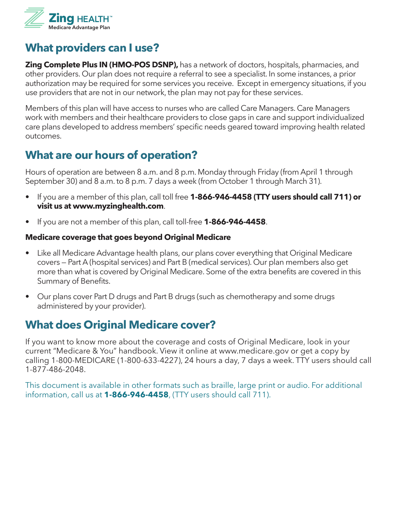

# **What providers can I use?**

**Zing Complete Plus IN (HMO-POS DSNP),** has a network of doctors, hospitals, pharmacies, and other providers. Our plan does not require a referral to see a specialist. In some instances, a prior authorization may be required for some services you receive. Except in emergency situations, if you use providers that are not in our network, the plan may not pay for these services.

Members of this plan will have access to nurses who are called Care Managers. Care Managers work with members and their healthcare providers to close gaps in care and support individualized care plans developed to address members' specific needs geared toward improving health related outcomes.

# **What are our hours of operation?**

Hours of operation are between 8 a.m. and 8 p.m. Monday through Friday (from April 1 through September 30) and 8 a.m. to 8 p.m. 7 days a week (from October 1 through March 31).

- If you are a member of this plan, call toll free **1-866-946-4458 (TTY users should call 711) or visit us at www.myzinghealth.com**.
- If you are not a member of this plan, call toll-free **1-866-946-4458**.

#### **Medicare coverage that goes beyond Original Medicare**

- Like all Medicare Advantage health plans, our plans cover everything that Original Medicare covers — Part A (hospital services) and Part B (medical services). Our plan members also get more than what is covered by Original Medicare. Some of the extra benefits are covered in this Summary of Benefits.
- Our plans cover Part D drugs and Part B drugs (such as chemotherapy and some drugs administered by your provider).

# **What does Original Medicare cover?**

If you want to know more about the coverage and costs of Original Medicare, look in your current "Medicare & You" handbook. View it online at www.medicare.gov or get a copy by calling 1-800-MEDICARE (1-800-633-4227), 24 hours a day, 7 days a week. TTY users should call 1-877-486-2048.

This document is available in other formats such as braille, large print or audio. For additional information, call us at **1-866-946-4458**, (TTY users should call 711).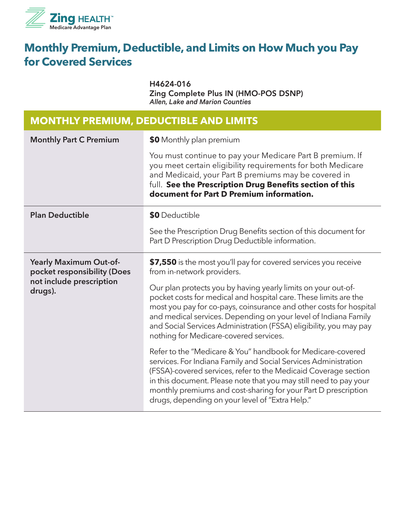

# **Monthly Premium, Deductible, and Limits on How Much you Pay for Covered Services**

H4624-016 Zing Complete Plus IN (HMO-POS DSNP) *Allen, Lake and Marion Counties*

#### **MONTHLY PREMIUM, DEDUCTIBLE AND LIMITS**

| <b>Monthly Part C Premium</b>                                                                | \$0 Monthly plan premium                                                                                                                                                                                                                                                                                                                                                                    |
|----------------------------------------------------------------------------------------------|---------------------------------------------------------------------------------------------------------------------------------------------------------------------------------------------------------------------------------------------------------------------------------------------------------------------------------------------------------------------------------------------|
|                                                                                              | You must continue to pay your Medicare Part B premium. If<br>you meet certain eligibility requirements for both Medicare<br>and Medicaid, your Part B premiums may be covered in<br>full. See the Prescription Drug Benefits section of this<br>document for Part D Premium information.                                                                                                    |
| <b>Plan Deductible</b>                                                                       | \$0 Deductible                                                                                                                                                                                                                                                                                                                                                                              |
|                                                                                              | See the Prescription Drug Benefits section of this document for<br>Part D Prescription Drug Deductible information.                                                                                                                                                                                                                                                                         |
| Yearly Maximum Out-of-<br>pocket responsibility (Does<br>not include prescription<br>drugs). | \$7,550 is the most you'll pay for covered services you receive<br>from in-network providers.                                                                                                                                                                                                                                                                                               |
|                                                                                              | Our plan protects you by having yearly limits on your out-of-<br>pocket costs for medical and hospital care. These limits are the<br>most you pay for co-pays, coinsurance and other costs for hospital<br>and medical services. Depending on your level of Indiana Family<br>and Social Services Administration (FSSA) eligibility, you may pay<br>nothing for Medicare-covered services.  |
|                                                                                              | Refer to the "Medicare & You" handbook for Medicare-covered<br>services. For Indiana Family and Social Services Administration<br>(FSSA)-covered services, refer to the Medicaid Coverage section<br>in this document. Please note that you may still need to pay your<br>monthly premiums and cost-sharing for your Part D prescription<br>drugs, depending on your level of "Extra Help." |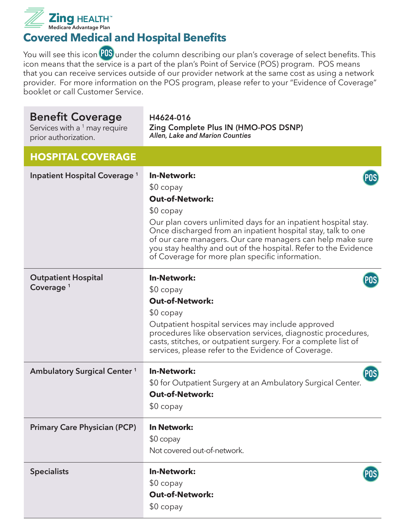

**Covered Medical and Hospital Benefits**

You will see this icon **POS** under the column describing our plan's coverage of select benefits. This icon means that the service is a part of the plan's Point of Service (POS) program. POS means that you can receive services outside of our provider network at the same cost as using a network provider. For more information on the POS program, please refer to your "Evidence of Coverage" booklet or call Customer Service.

| <b>Benefit Coverage</b><br>Services with a <sup>1</sup> may require<br>prior authorization. | H4624-016<br>Zing Complete Plus IN (HMO-POS DSNP)<br><b>Allen, Lake and Marion Counties</b>                                                                                                                                                                                                                                                                                                    |
|---------------------------------------------------------------------------------------------|------------------------------------------------------------------------------------------------------------------------------------------------------------------------------------------------------------------------------------------------------------------------------------------------------------------------------------------------------------------------------------------------|
| <b>HOSPITAL COVERAGE</b>                                                                    |                                                                                                                                                                                                                                                                                                                                                                                                |
| <b>Inpatient Hospital Coverage</b> 1                                                        | <b>In-Network:</b><br>$$0$ copay<br><b>Out-of-Network:</b><br>$$0$ copay<br>Our plan covers unlimited days for an inpatient hospital stay.<br>Once discharged from an inpatient hospital stay, talk to one<br>of our care managers. Our care managers can help make sure<br>you stay healthy and out of the hospital. Refer to the Evidence<br>of Coverage for more plan specific information. |
| <b>Outpatient Hospital</b><br>Coverage <sup>1</sup>                                         | <b>In-Network:</b><br>$$0$ copay<br><b>Out-of-Network:</b><br>$$0$ copay<br>Outpatient hospital services may include approved<br>procedures like observation services, diagnostic procedures,<br>casts, stitches, or outpatient surgery. For a complete list of<br>services, please refer to the Evidence of Coverage.                                                                         |
| <b>Ambulatory Surgical Center 1</b>                                                         | <b>In-Network:</b><br><b>POS</b><br>\$0 for Outpatient Surgery at an Ambulatory Surgical Center.<br><b>Out-of-Network:</b><br>$$0\ copay$                                                                                                                                                                                                                                                      |
| <b>Primary Care Physician (PCP)</b>                                                         | <b>In Network:</b><br>$$0$ copay<br>Not covered out-of-network.                                                                                                                                                                                                                                                                                                                                |
| <b>Specialists</b>                                                                          | <b>In-Network:</b><br>POS)<br>$$0$ copay<br><b>Out-of-Network:</b><br>$$0$ copay                                                                                                                                                                                                                                                                                                               |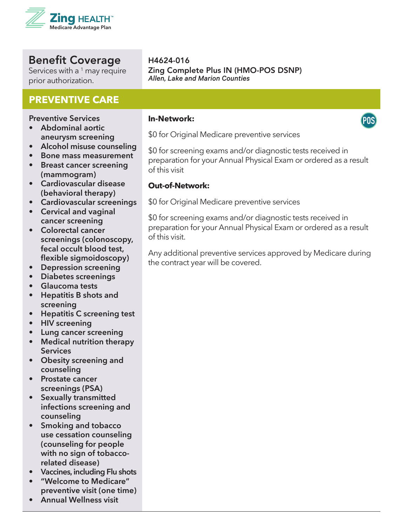

Services with a  $1$  may require prior authorization.

#### **PREVENTIVE CARE**

**Preventive Services**

- **• Abdominal aortic aneurysm screening**
- **• Alcohol misuse counseling**
- **• Bone mass measurement**
- **• Breast cancer screening (mammogram)**
- **• Cardiovascular disease (behavioral therapy)**
- **• Cardiovascular screenings**
- **• Cervical and vaginal cancer screening**
- **• Colorectal cancer screenings (colonoscopy, fecal occult blood test, flexible sigmoidoscopy)**
- **• Depression screening**
- **• Diabetes screenings**
- **• Glaucoma tests**
- **• Hepatitis B shots and screening**
- **• Hepatitis C screening test**
- **• HIV screening**
- **• Lung cancer screening**
- **• Medical nutrition therapy Services**
- **• Obesity screening and counseling**
- **• Prostate cancer screenings (PSA)**
- **• Sexually transmitted infections screening and counseling**
- **• Smoking and tobacco use cessation counseling (counseling for people with no sign of tobaccorelated disease)**
- **• Vaccines, including Flu shots**
- **• "Welcome to Medicare" preventive visit (one time)**
- **• Annual Wellness visit**

#### H4624-016 Zing Complete Plus IN (HMO-POS DSNP) *Allen, Lake and Marion Counties*

#### **In-Network:**

\$0 for Original Medicare preventive services

\$0 for screening exams and/or diagnostic tests received in preparation for your Annual Physical Exam or ordered as a result of this visit

#### **Out-of-Network:**

\$0 for Original Medicare preventive services

\$0 for screening exams and/or diagnostic tests received in preparation for your Annual Physical Exam or ordered as a result of this visit.

Any additional preventive services approved by Medicare during the contract year will be covered.

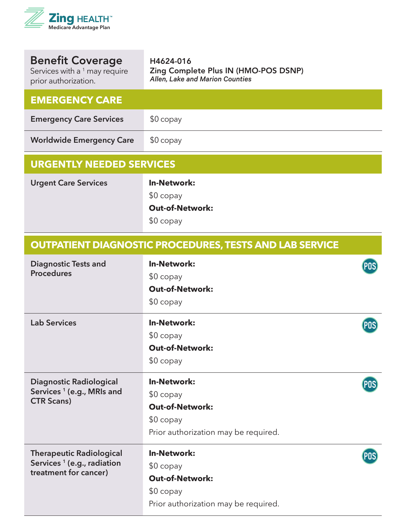

| <b>Benefit Coverage</b><br>Services with a <sup>1</sup> may require<br>prior authorization. | H4624-016<br>Zing Complete Plus IN (HMO-POS DSNP)<br>Allen, Lake and Marion Counties |  |
|---------------------------------------------------------------------------------------------|--------------------------------------------------------------------------------------|--|
| <b>EMERGENCY CARE</b>                                                                       |                                                                                      |  |
| <b>Emergency Care Services</b>                                                              | $$0$ copay                                                                           |  |
| <b>Worldwide Emergency Care</b>                                                             | $$0$ copay                                                                           |  |
| <b>URGENTLY NEEDED SERVICES</b>                                                             |                                                                                      |  |
| <b>Urgent Care Services</b>                                                                 | <b>In-Network:</b><br>$$0$ copay<br><b>Out-of-Network:</b><br>$$0$ copay             |  |
| <b>OUTPATIENT DIAGNOSTIC PROCEDURES, TESTS AND LAB SERVICE</b>                              |                                                                                      |  |
| <b>Diagnostic Tests and</b><br><b>Procedures</b>                                            | <b>In-Network:</b><br>$$0$ copay<br><b>Out-of-Network:</b>                           |  |

\$0 copay

| <b>Lab Services</b>                                                                                | <b>In-Network:</b><br>$$0$ copay<br><b>Out-of-Network:</b><br>$$0$ copay                                         |  |
|----------------------------------------------------------------------------------------------------|------------------------------------------------------------------------------------------------------------------|--|
| <b>Diagnostic Radiological</b><br>Services <sup>1</sup> (e.g., MRIs and<br><b>CTR Scans)</b>       | <b>In-Network:</b><br>$$0$ copay<br><b>Out-of-Network:</b><br>$$0$ copay<br>Prior authorization may be required. |  |
| <b>Therapeutic Radiological</b><br>Services <sup>1</sup> (e.g., radiation<br>treatment for cancer) | <b>In-Network:</b><br>$$0$ copay<br><b>Out-of-Network:</b><br>$$0$ copay<br>Prior authorization may be required. |  |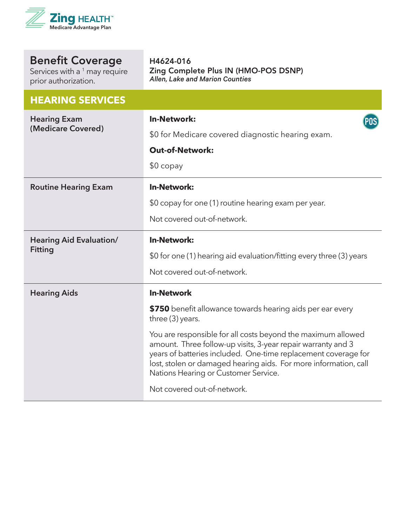

Services with a  $^1$  may require prior authorization.

#### **HEARING SERVICES**

| <b>Hearing Exam</b><br>(Medicare Covered)        | <b>In-Network:</b><br>\$0 for Medicare covered diagnostic hearing exam.                                                                                                                                                                                                                                    |
|--------------------------------------------------|------------------------------------------------------------------------------------------------------------------------------------------------------------------------------------------------------------------------------------------------------------------------------------------------------------|
|                                                  | <b>Out-of-Network:</b>                                                                                                                                                                                                                                                                                     |
|                                                  |                                                                                                                                                                                                                                                                                                            |
|                                                  | $$0$ copay                                                                                                                                                                                                                                                                                                 |
| <b>Routine Hearing Exam</b>                      | <b>In-Network:</b>                                                                                                                                                                                                                                                                                         |
|                                                  | \$0 copay for one (1) routine hearing exam per year.                                                                                                                                                                                                                                                       |
|                                                  | Not covered out-of-network.                                                                                                                                                                                                                                                                                |
| <b>Hearing Aid Evaluation/</b><br><b>Fitting</b> | <b>In-Network:</b>                                                                                                                                                                                                                                                                                         |
|                                                  | \$0 for one (1) hearing aid evaluation/fitting every three (3) years                                                                                                                                                                                                                                       |
|                                                  | Not covered out-of-network.                                                                                                                                                                                                                                                                                |
| <b>Hearing Aids</b>                              | <b>In-Network</b>                                                                                                                                                                                                                                                                                          |
|                                                  | \$750 benefit allowance towards hearing aids per ear every<br>three (3) years.                                                                                                                                                                                                                             |
|                                                  | You are responsible for all costs beyond the maximum allowed<br>amount. Three follow-up visits, 3-year repair warranty and 3<br>years of batteries included. One-time replacement coverage for<br>lost, stolen or damaged hearing aids. For more information, call<br>Nations Hearing or Customer Service. |
|                                                  | Not covered out-of-network.                                                                                                                                                                                                                                                                                |

Zing Complete Plus IN (HMO-POS DSNP)

*Allen, Lake and Marion Counties*

H4624-016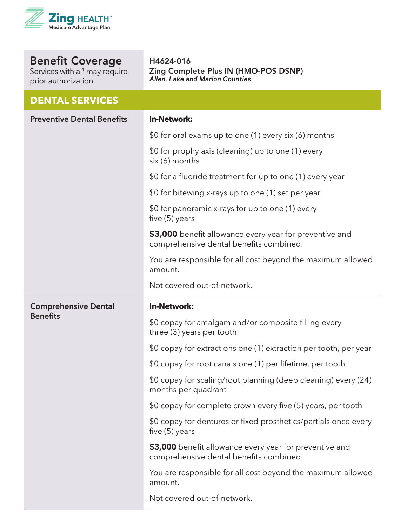

Services with a <sup>1</sup> may require prior authorization.

**DENTAL SERVICES**

H4624-016 Zing Complete Plus IN (HMO-POS DSNP) *Allen, Lake and Marion Counties*

| DEIN IML JENVILEJ                 |                                                                                                    |
|-----------------------------------|----------------------------------------------------------------------------------------------------|
| <b>Preventive Dental Benefits</b> | <b>In-Network:</b>                                                                                 |
|                                   | \$0 for oral exams up to one (1) every six (6) months                                              |
|                                   | \$0 for prophylaxis (cleaning) up to one (1) every<br>six (6) months                               |
|                                   | \$0 for a fluoride treatment for up to one (1) every year                                          |
|                                   | \$0 for bitewing x-rays up to one (1) set per year                                                 |
|                                   | \$0 for panoramic x-rays for up to one (1) every<br>five $(5)$ years                               |
|                                   | \$3,000 benefit allowance every year for preventive and<br>comprehensive dental benefits combined. |
|                                   | You are responsible for all cost beyond the maximum allowed<br>amount.                             |
|                                   | Not covered out-of-network.                                                                        |
| <b>Comprehensive Dental</b>       |                                                                                                    |
|                                   | <b>In-Network:</b>                                                                                 |
| <b>Benefits</b>                   | \$0 copay for amalgam and/or composite filling every<br>three (3) years per tooth                  |
|                                   | \$0 copay for extractions one (1) extraction per tooth, per year                                   |
|                                   | \$0 copay for root canals one (1) per lifetime, per tooth                                          |
|                                   | \$0 copay for scaling/root planning (deep cleaning) every (24)<br>months per quadrant              |
|                                   | \$0 copay for complete crown every five (5) years, per tooth                                       |
|                                   | \$0 copay for dentures or fixed prosthetics/partials once every<br>five (5) years                  |
|                                   | \$3,000 benefit allowance every year for preventive and<br>comprehensive dental benefits combined. |
|                                   | You are responsible for all cost beyond the maximum allowed<br>amount.                             |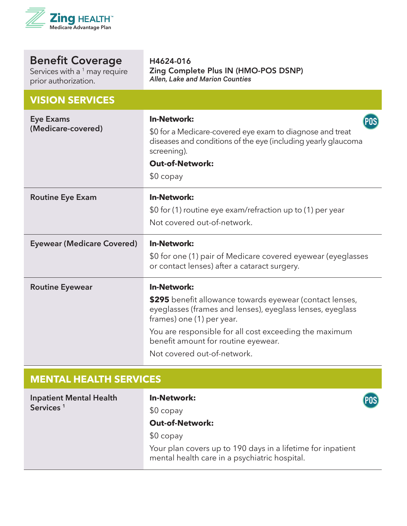

| <b>Benefit Coverage</b> |
|-------------------------|
|-------------------------|

Services with a  $^1$  may require prior authorization.

#### **VISION SERVICES**

| <b>Eye Exams</b><br>(Medicare-covered) | <b>In-Network:</b><br>\$0 for a Medicare-covered eye exam to diagnose and treat<br>diseases and conditions of the eye (including yearly glaucoma<br>screening).<br><b>Out-of-Network:</b><br>$$0$ copay |
|----------------------------------------|---------------------------------------------------------------------------------------------------------------------------------------------------------------------------------------------------------|
| <b>Routine Eye Exam</b>                | <b>In-Network:</b>                                                                                                                                                                                      |
|                                        | \$0 for (1) routine eye exam/refraction up to (1) per year                                                                                                                                              |
|                                        | Not covered out-of-network.                                                                                                                                                                             |
| <b>Eyewear (Medicare Covered)</b>      | <b>In-Network:</b>                                                                                                                                                                                      |
|                                        | \$0 for one (1) pair of Medicare covered eyewear (eyeglasses<br>or contact lenses) after a cataract surgery.                                                                                            |
| <b>Routine Eyewear</b>                 | <b>In-Network:</b>                                                                                                                                                                                      |
|                                        | \$295 benefit allowance towards eyewear (contact lenses,<br>eyeglasses (frames and lenses), eyeglass lenses, eyeglass<br>frames) one (1) per year.                                                      |
|                                        | You are responsible for all cost exceeding the maximum<br>benefit amount for routine eyewear.                                                                                                           |
|                                        | Not covered out-of-network.                                                                                                                                                                             |

Zing Complete Plus IN (HMO-POS DSNP)

*Allen, Lake and Marion Counties*

H4624-016

### **MENTAL HEALTH SERVICES**

| <b>Inpatient Mental Health</b> | <b>In-Network:</b>                                                                                           | POS) |
|--------------------------------|--------------------------------------------------------------------------------------------------------------|------|
| Services <sup>1</sup>          | $$0$ copay                                                                                                   |      |
|                                | <b>Out-of-Network:</b>                                                                                       |      |
|                                | $$0$ copay                                                                                                   |      |
|                                | Your plan covers up to 190 days in a lifetime for inpatient<br>mental health care in a psychiatric hospital. |      |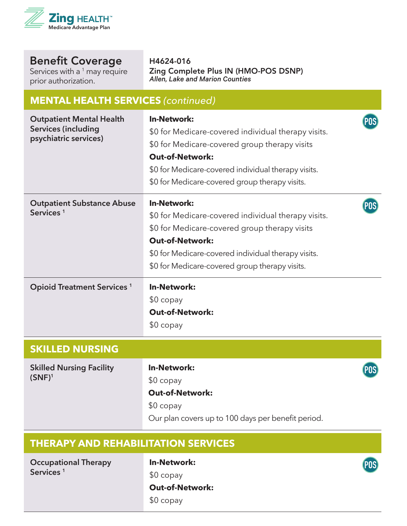

Services with a <sup>1</sup> may require prior authorization.

H4624-016 Zing Complete Plus IN (HMO-POS DSNP) *Allen, Lake and Marion Counties*

#### **MENTAL HEALTH SERVICES** *(continued)* **Outpatient Mental Health In-Network: POS Services (including**  \$0 for Medicare-covered individual therapy visits. **psychiatric services)** \$0 for Medicare-covered group therapy visits **Out-of-Network:** \$0 for Medicare-covered individual therapy visits. \$0 for Medicare-covered group therapy visits. **In-Network: Outpatient Substance Abuse POS Services <sup>1</sup>** \$0 for Medicare-covered individual therapy visits. \$0 for Medicare-covered group therapy visits **Out-of-Network:** \$0 for Medicare-covered individual therapy visits. \$0 for Medicare-covered group therapy visits. **Opioid Treatment Services <sup>1</sup> In-Network:**  \$0 copay **Out-of-Network:** \$0 copay **SKILLED NURSING In-Network: Skilled Nursing Facility POS (SNF)<sup>1</sup>** \$0 copay **Out-of-Network:** \$0 copay Our plan covers up to 100 days per benefit period.

#### **THERAPY AND REHABILITATION SERVICES**

**Occupational Therapy Services <sup>1</sup>**

**In-Network:**  \$0 copay

**Out-of-Network:**

\$0 copay

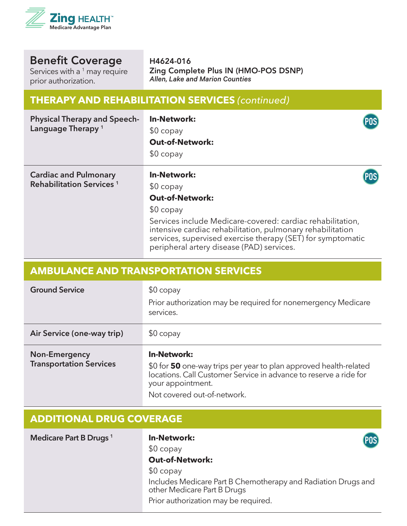

Services with a  $^1$  may require prior authorization.

H4624-016 Zing Complete Plus IN (HMO-POS DSNP) *Allen, Lake and Marion Counties*

# **THERAPY AND REHABILITATION SERVICES** *(continued)*

| <b>Physical Therapy and Speech-</b><br>Language Therapy <sup>1</sup> | <b>In-Network:</b><br>$$0$ copay<br><b>Out-of-Network:</b><br>$$0$ copay                                                                                                                                                                           | POS |
|----------------------------------------------------------------------|----------------------------------------------------------------------------------------------------------------------------------------------------------------------------------------------------------------------------------------------------|-----|
| <b>Cardiac and Pulmonary</b><br>Rehabilitation Services <sup>1</sup> | <b>In-Network:</b><br>$$0$ copay<br><b>Out-of-Network:</b>                                                                                                                                                                                         |     |
|                                                                      | $$0$ copay<br>Services include Medicare-covered: cardiac rehabilitation,<br>intensive cardiac rehabilitation, pulmonary rehabilitation<br>services, supervised exercise therapy (SET) for symptomatic<br>peripheral artery disease (PAD) services. |     |

| <b>AMBULANCE AND TRANSPORTATION SERVICES</b>    |                                                                                                                                                                                                               |
|-------------------------------------------------|---------------------------------------------------------------------------------------------------------------------------------------------------------------------------------------------------------------|
| <b>Ground Service</b>                           | $$0$ copay<br>Prior authorization may be required for nonemergency Medicare<br>services.                                                                                                                      |
| Air Service (one-way trip)                      | $$0$ copay                                                                                                                                                                                                    |
| Non-Emergency<br><b>Transportation Services</b> | <b>In-Network:</b><br>\$0 for 50 one-way trips per year to plan approved health-related locations. Call Customer Service in advance to reserve a ride for<br>your appointment.<br>Not covered out-of-network. |

### **ADDITIONAL DRUG COVERAGE**

| Medicare Part B Drugs <sup>1</sup> | <b>In-Network:</b><br>(POS)                                                                  |
|------------------------------------|----------------------------------------------------------------------------------------------|
|                                    | $$0$ copay                                                                                   |
|                                    | <b>Out-of-Network:</b>                                                                       |
|                                    | $$0$ copay                                                                                   |
|                                    | Includes Medicare Part B Chemotherapy and Radiation Drugs and<br>other Medicare Part B Drugs |
|                                    | Prior authorization may be required.                                                         |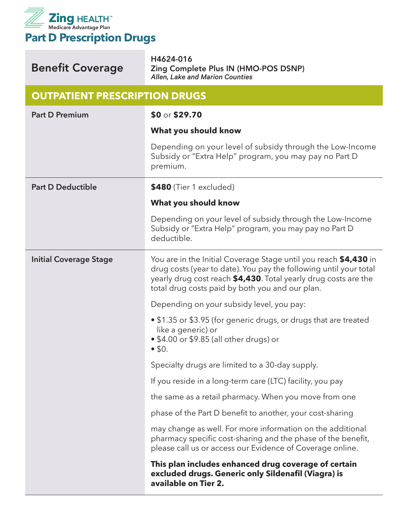

| <b>Benefit Coverage</b>              | H4624-016<br>Zing Complete Plus IN (HMO-POS DSNP)<br>Allen, Lake and Marion Counties                                                                                                                                                                        |
|--------------------------------------|-------------------------------------------------------------------------------------------------------------------------------------------------------------------------------------------------------------------------------------------------------------|
| <b>OUTPATIENT PRESCRIPTION DRUGS</b> |                                                                                                                                                                                                                                                             |
| <b>Part D Premium</b>                | \$0 or \$29.70                                                                                                                                                                                                                                              |
|                                      | What you should know                                                                                                                                                                                                                                        |
|                                      | Depending on your level of subsidy through the Low-Income<br>Subsidy or "Extra Help" program, you may pay no Part D<br>premium.                                                                                                                             |
| <b>Part D Deductible</b>             | \$480 (Tier 1 excluded)                                                                                                                                                                                                                                     |
|                                      | What you should know                                                                                                                                                                                                                                        |
|                                      | Depending on your level of subsidy through the Low-Income<br>Subsidy or "Extra Help" program, you may pay no Part D<br>deductible.                                                                                                                          |
| <b>Initial Coverage Stage</b>        | You are in the Initial Coverage Stage until you reach \$4,430 in<br>drug costs (year to date). You pay the following until your total<br>yearly drug cost reach \$4,430. Total yearly drug costs are the<br>total drug costs paid by both you and our plan. |
|                                      | Depending on your subsidy level, you pay:                                                                                                                                                                                                                   |
|                                      | • \$1.35 or \$3.95 (for generic drugs, or drugs that are treated<br>like a generic) or<br>• \$4.00 or \$9.85 (all other drugs) or<br>• 50.                                                                                                                  |
|                                      | Specialty drugs are limited to a 30-day supply.                                                                                                                                                                                                             |
|                                      | If you reside in a long-term care (LTC) facility, you pay                                                                                                                                                                                                   |
|                                      | the same as a retail pharmacy. When you move from one                                                                                                                                                                                                       |
|                                      | phase of the Part D benefit to another, your cost-sharing                                                                                                                                                                                                   |
|                                      | may change as well. For more information on the additional<br>pharmacy specific cost-sharing and the phase of the benefit,<br>please call us or access our Evidence of Coverage online.                                                                     |
|                                      | This plan includes enhanced drug coverage of certain<br>excluded drugs. Generic only Sildenafil (Viagra) is<br>available on Tier 2.                                                                                                                         |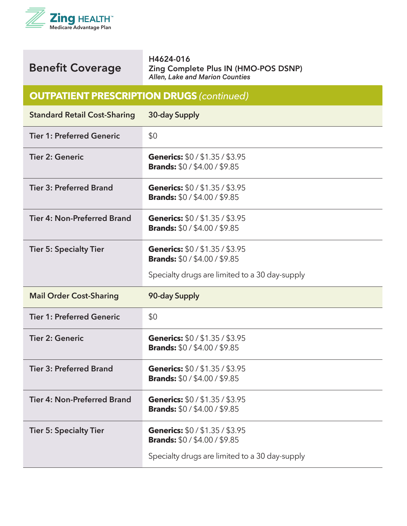

H4624-016 Zing Complete Plus IN (HMO-POS DSNP) *Allen, Lake and Marion Counties*

#### **OUTPATIENT PRESCRIPTION DRUGS** *(continued)*

| <b>Standard Retail Cost-Sharing</b> | 30-day Supply                                                                                                         |
|-------------------------------------|-----------------------------------------------------------------------------------------------------------------------|
| <b>Tier 1: Preferred Generic</b>    | \$0                                                                                                                   |
| <b>Tier 2: Generic</b>              | Generics: \$0/\$1.35/\$3.95<br><b>Brands: \$0 / \$4.00 / \$9.85</b>                                                   |
| <b>Tier 3: Preferred Brand</b>      | Generics: \$0 / \$1.35 / \$3.95<br><b>Brands: \$0 / \$4.00 / \$9.85</b>                                               |
| <b>Tier 4: Non-Preferred Brand</b>  | Generics: \$0 / \$1.35 / \$3.95<br><b>Brands: \$0 / \$4.00 / \$9.85</b>                                               |
| <b>Tier 5: Specialty Tier</b>       | Generics: \$0/\$1.35/\$3.95<br><b>Brands:</b> \$0 / \$4.00 / \$9.85                                                   |
|                                     | Specialty drugs are limited to a 30 day-supply                                                                        |
|                                     |                                                                                                                       |
| <b>Mail Order Cost-Sharing</b>      | 90-day Supply                                                                                                         |
| <b>Tier 1: Preferred Generic</b>    | \$0                                                                                                                   |
| <b>Tier 2: Generic</b>              | Generics: \$0/\$1.35/\$3.95<br><b>Brands: \$0 / \$4.00 / \$9.85</b>                                                   |
| <b>Tier 3: Preferred Brand</b>      | Generics: \$0/\$1.35/\$3.95<br><b>Brands: \$0 / \$4.00 / \$9.85</b>                                                   |
| <b>Tier 4: Non-Preferred Brand</b>  | Generics: \$0 / \$1.35 / \$3.95<br><b>Brands: \$0 / \$4.00 / \$9.85</b>                                               |
| <b>Tier 5: Specialty Tier</b>       | Generics: \$0/\$1.35/\$3.95<br><b>Brands: \$0 / \$4.00 / \$9.85</b><br>Specialty drugs are limited to a 30 day-supply |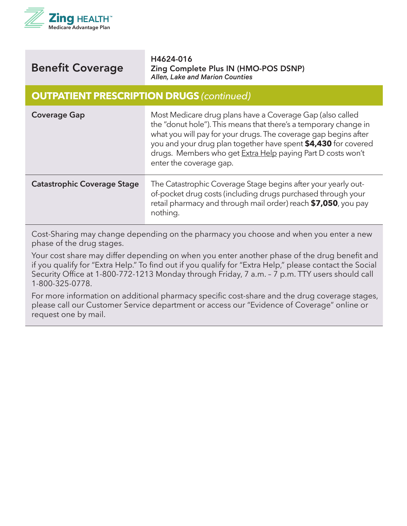

H4624-016 Zing Complete Plus IN (HMO-POS DSNP) *Allen, Lake and Marion Counties*

#### **OUTPATIENT PRESCRIPTION DRUGS** *(continued)*

| <b>Coverage Gap</b>                | Most Medicare drug plans have a Coverage Gap (also called<br>the "donut hole"). This means that there's a temporary change in<br>what you will pay for your drugs. The coverage gap begins after<br>you and your drug plan together have spent \$4,430 for covered<br>drugs. Members who get Extra Help paying Part D costs won't<br>enter the coverage gap. |
|------------------------------------|--------------------------------------------------------------------------------------------------------------------------------------------------------------------------------------------------------------------------------------------------------------------------------------------------------------------------------------------------------------|
| <b>Catastrophic Coverage Stage</b> | The Catastrophic Coverage Stage begins after your yearly out-<br>of-pocket drug costs (including drugs purchased through your<br>retail pharmacy and through mail order) reach \$7,050, you pay<br>nothing.                                                                                                                                                  |

Cost-Sharing may change depending on the pharmacy you choose and when you enter a new phase of the drug stages.

Your cost share may differ depending on when you enter another phase of the drug benefit and if you qualify for "Extra Help." To find out if you qualify for "Extra Help," please contact the Social Security Office at 1-800-772-1213 Monday through Friday, 7 a.m. – 7 p.m. TTY users should call 1-800-325-0778.

For more information on additional pharmacy specific cost-share and the drug coverage stages, please call our Customer Service department or access our "Evidence of Coverage" online or request one by mail.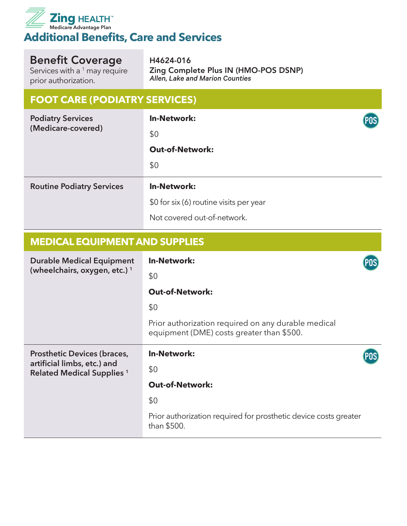

Services with a  $1$  may require prior authorization.

H4624-016 Zing Complete Plus IN (HMO-POS DSNP) *Allen, Lake and Marion Counties*

### **FOOT CARE (PODIATRY SERVICES)**

| <b>Podiatry Services</b><br>(Medicare-covered) | <b>In-Network:</b>                      | POS) |
|------------------------------------------------|-----------------------------------------|------|
|                                                | \$0                                     |      |
|                                                | <b>Out-of-Network:</b>                  |      |
|                                                | \$0                                     |      |
| <b>Routine Podiatry Services</b>               | <b>In-Network:</b>                      |      |
|                                                | \$0 for six (6) routine visits per year |      |
|                                                | Not covered out-of-network.             |      |

#### **MEDICAL EQUIPMENT AND SUPPLIES**

| <b>Durable Medical Equipment</b><br>(wheelchairs, oxygen, etc.) <sup>1</sup> | <b>In-Network:</b>                                                                               |  |
|------------------------------------------------------------------------------|--------------------------------------------------------------------------------------------------|--|
|                                                                              | \$0                                                                                              |  |
|                                                                              | <b>Out-of-Network:</b>                                                                           |  |
|                                                                              | \$0                                                                                              |  |
|                                                                              | Prior authorization required on any durable medical<br>equipment (DME) costs greater than \$500. |  |
|                                                                              |                                                                                                  |  |
| <b>Prosthetic Devices (braces,</b>                                           | <b>In-Network:</b>                                                                               |  |
| artificial limbs, etc.) and<br><b>Related Medical Supplies 1</b>             | \$0                                                                                              |  |
|                                                                              | <b>Out-of-Network:</b>                                                                           |  |
|                                                                              | \$0                                                                                              |  |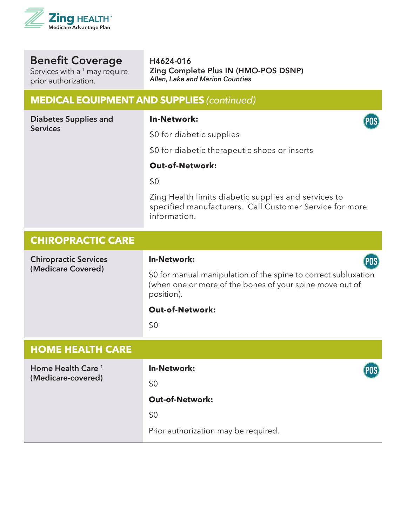

Services with a  $1$  may require prior authorization.

H4624-016 Zing Complete Plus IN (HMO-POS DSNP) *Allen, Lake and Marion Counties*

# **MEDICAL EQUIPMENT AND SUPPLIES** *(continued)*

| <b>Diabetes Supplies and</b><br><b>Services</b> | <b>In-Network:</b><br>POS <sup>)</sup>                                                                                                    |
|-------------------------------------------------|-------------------------------------------------------------------------------------------------------------------------------------------|
|                                                 | \$0 for diabetic supplies                                                                                                                 |
|                                                 | \$0 for diabetic therapeutic shoes or inserts                                                                                             |
|                                                 | <b>Out-of-Network:</b>                                                                                                                    |
|                                                 | \$0                                                                                                                                       |
|                                                 | Zing Health limits diabetic supplies and services to<br>specified manufacturers. Call Customer Service for more<br>information.           |
| <b>CHIROPRACTIC CARE</b>                        |                                                                                                                                           |
| <b>Chiropractic Services</b>                    | <b>In-Network:</b><br>(POS)                                                                                                               |
| (Medicare Covered)                              | \$0 for manual manipulation of the spine to correct subluxation<br>(when one or more of the bones of your spine move out of<br>position). |
|                                                 | <b>Out-of-Network:</b>                                                                                                                    |
|                                                 | \$0                                                                                                                                       |
| <b>HOME HEALTH CARE</b>                         |                                                                                                                                           |
| Home Health Care <sup>1</sup>                   | <b>In-Network:</b><br>POS                                                                                                                 |
| (Medicare-covered)                              | \$0                                                                                                                                       |
|                                                 | <b>Out-of-Network:</b>                                                                                                                    |
|                                                 | \$0                                                                                                                                       |
|                                                 | Prior authorization may be required.                                                                                                      |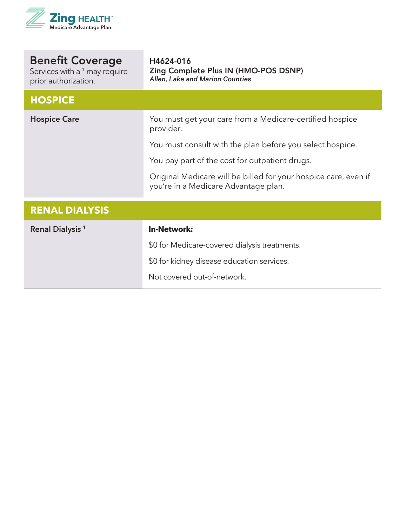

| <b>Benefit Coverage</b><br>Services with a <sup>1</sup> may require<br>prior authorization. | H4624-016<br>Zing Complete Plus IN (HMO-POS DSNP)<br>Allen, Lake and Marion Counties                    |
|---------------------------------------------------------------------------------------------|---------------------------------------------------------------------------------------------------------|
| <b>HOSPICE</b>                                                                              |                                                                                                         |
| <b>Hospice Care</b>                                                                         | You must get your care from a Medicare-certified hospice<br>provider.                                   |
|                                                                                             | You must consult with the plan before you select hospice.                                               |
|                                                                                             | You pay part of the cost for outpatient drugs.                                                          |
|                                                                                             | Original Medicare will be billed for your hospice care, even if<br>you're in a Medicare Advantage plan. |
| <b>RENAL DIALYSIS</b>                                                                       |                                                                                                         |
| Renal Dialysis <sup>1</sup>                                                                 | <b>In-Network:</b>                                                                                      |
|                                                                                             | \$0 for Medicare-covered dialysis treatments.                                                           |
|                                                                                             | \$0 for kidney disease education services.                                                              |
|                                                                                             | Not covered out-of-network.                                                                             |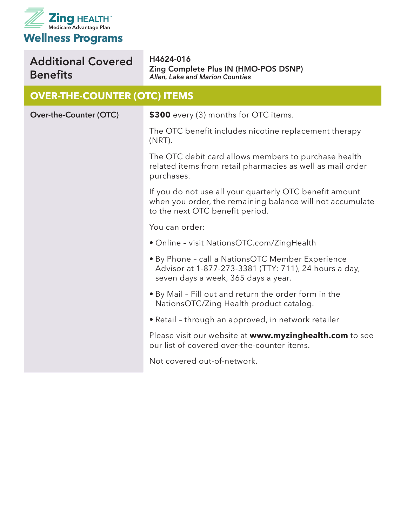

#### Additional Covered Benefits H4624-016

Zing Complete Plus IN (HMO-POS DSNP) *Allen, Lake and Marion Counties*

#### **OVER-THE-COUNTER (OTC) ITEMS**

| Over-the-Counter (OTC) | \$300 every (3) months for OTC items.                                                                                                                   |
|------------------------|---------------------------------------------------------------------------------------------------------------------------------------------------------|
|                        | The OTC benefit includes nicotine replacement therapy<br>$(NRT)$ .                                                                                      |
|                        | The OTC debit card allows members to purchase health<br>related items from retail pharmacies as well as mail order<br>purchases.                        |
|                        | If you do not use all your quarterly OTC benefit amount<br>when you order, the remaining balance will not accumulate<br>to the next OTC benefit period. |
|                        | You can order:                                                                                                                                          |
|                        | • Online - visit NationsOTC.com/ZingHealth                                                                                                              |
|                        | • By Phone - call a NationsOTC Member Experience<br>Advisor at 1-877-273-3381 (TTY: 711), 24 hours a day,<br>seven days a week, 365 days a year.        |
|                        | . By Mail - Fill out and return the order form in the<br>NationsOTC/Zing Health product catalog.                                                        |
|                        | • Retail - through an approved, in network retailer                                                                                                     |
|                        | Please visit our website at www.myzinghealth.com to see<br>our list of covered over-the-counter items.                                                  |
|                        | Not covered out-of-network.                                                                                                                             |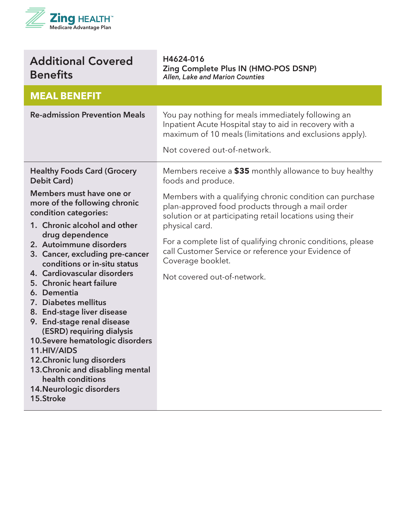

| <b>Additional Covered</b><br><b>Benefits</b>                                                                                                                                                                                                                                                                                                                                                                                                                                                                                                                                                                      | H4624-016<br>Zing Complete Plus IN (HMO-POS DSNP)<br>Allen, Lake and Marion Counties                                                                                                                                                                                                                                                                                   |
|-------------------------------------------------------------------------------------------------------------------------------------------------------------------------------------------------------------------------------------------------------------------------------------------------------------------------------------------------------------------------------------------------------------------------------------------------------------------------------------------------------------------------------------------------------------------------------------------------------------------|------------------------------------------------------------------------------------------------------------------------------------------------------------------------------------------------------------------------------------------------------------------------------------------------------------------------------------------------------------------------|
| <b>MEAL BENEFIT</b>                                                                                                                                                                                                                                                                                                                                                                                                                                                                                                                                                                                               |                                                                                                                                                                                                                                                                                                                                                                        |
| <b>Re-admission Prevention Meals</b>                                                                                                                                                                                                                                                                                                                                                                                                                                                                                                                                                                              | You pay nothing for meals immediately following an<br>Inpatient Acute Hospital stay to aid in recovery with a<br>maximum of 10 meals (limitations and exclusions apply).<br>Not covered out-of-network.                                                                                                                                                                |
| <b>Healthy Foods Card (Grocery</b><br>Debit Card)                                                                                                                                                                                                                                                                                                                                                                                                                                                                                                                                                                 | Members receive a \$35 monthly allowance to buy healthy<br>foods and produce.                                                                                                                                                                                                                                                                                          |
| Members must have one or<br>more of the following chronic<br>condition categories:<br>1. Chronic alcohol and other<br>drug dependence<br>2. Autoimmune disorders<br>3. Cancer, excluding pre-cancer<br>conditions or in-situ status<br>4. Cardiovascular disorders<br>5. Chronic heart failure<br>6. Dementia<br>7. Diabetes mellitus<br>8. End-stage liver disease<br>9. End-stage renal disease<br>(ESRD) requiring dialysis<br>10. Severe hematologic disorders<br>11.HIV/AIDS<br>12. Chronic lung disorders<br>13. Chronic and disabling mental<br>health conditions<br>14. Neurologic disorders<br>15.Stroke | Members with a qualifying chronic condition can purchase<br>plan-approved food products through a mail order<br>solution or at participating retail locations using their<br>physical card.<br>For a complete list of qualifying chronic conditions, please<br>call Customer Service or reference your Evidence of<br>Coverage booklet.<br>Not covered out-of-network. |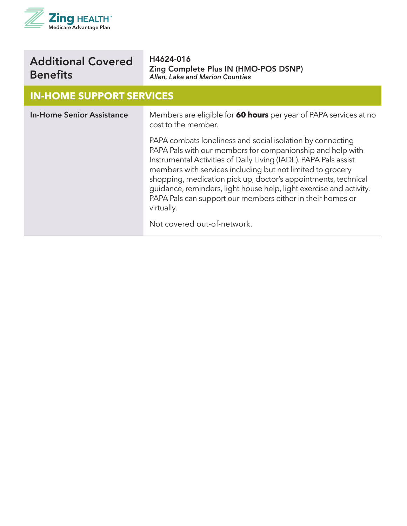

| <b>Additional Covered</b> |  |
|---------------------------|--|
| <b>Benefits</b>           |  |

#### **IN-HOME SUPPORT SERVICES**

| <b>In-Home Senior Assistance</b> | Members are eligible for 60 hours per year of PAPA services at no<br>cost to the member.                                                                                                                                                                                                                                                                                                                                                                                                                       |
|----------------------------------|----------------------------------------------------------------------------------------------------------------------------------------------------------------------------------------------------------------------------------------------------------------------------------------------------------------------------------------------------------------------------------------------------------------------------------------------------------------------------------------------------------------|
|                                  | PAPA combats loneliness and social isolation by connecting<br>PAPA Pals with our members for companionship and help with<br>Instrumental Activities of Daily Living (IADL). PAPA Pals assist<br>members with services including but not limited to grocery<br>shopping, medication pick up, doctor's appointments, technical<br>guidance, reminders, light house help, light exercise and activity.<br>PAPA Pals can support our members either in their homes or<br>virtually.<br>Not covered out-of-network. |
|                                  |                                                                                                                                                                                                                                                                                                                                                                                                                                                                                                                |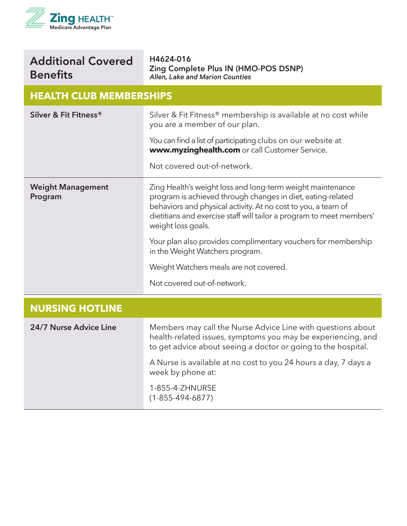

| <b>Additional Covered</b> |  |
|---------------------------|--|
| <b>Benefits</b>           |  |

### **HEALTH CLUB MEMBERSHIPS**

| Silver & Fit Fitness®               | Silver & Fit Fitness® membership is available at no cost while<br>you are a member of our plan.                                                                                                                                                                                          |
|-------------------------------------|------------------------------------------------------------------------------------------------------------------------------------------------------------------------------------------------------------------------------------------------------------------------------------------|
|                                     | You can find a list of participating clubs on our website at<br>www.myzinghealth.com or call Customer Service.                                                                                                                                                                           |
|                                     | Not covered out-of-network.                                                                                                                                                                                                                                                              |
| <b>Weight Management</b><br>Program | Zing Health's weight loss and long-term weight maintenance<br>program is achieved through changes in diet, eating-related<br>behaviors and physical activity. At no cost to you, a team of<br>dietitians and exercise staff will tailor a program to meet members'<br>weight loss goals. |
|                                     | Your plan also provides complimentary vouchers for membership<br>in the Weight Watchers program.                                                                                                                                                                                         |
|                                     | Weight Watchers meals are not covered.                                                                                                                                                                                                                                                   |
|                                     | Not covered out-of-network.                                                                                                                                                                                                                                                              |
| <b>NURSING HOTLINE</b>              |                                                                                                                                                                                                                                                                                          |
| 24/7 Nurse Advice Line              | Members may call the Nurse Advice Line with questions about<br>health-related issues, symptoms you may be experiencing, and<br>to get advice about seeing a doctor or going to the hospital.                                                                                             |
|                                     | A Nurse is available at no cost to you 24 hours a day, 7 days a<br>week by phone at:                                                                                                                                                                                                     |
|                                     | 1-855-4-ZHNURSE<br>$(1 - 855 - 494 - 6877)$                                                                                                                                                                                                                                              |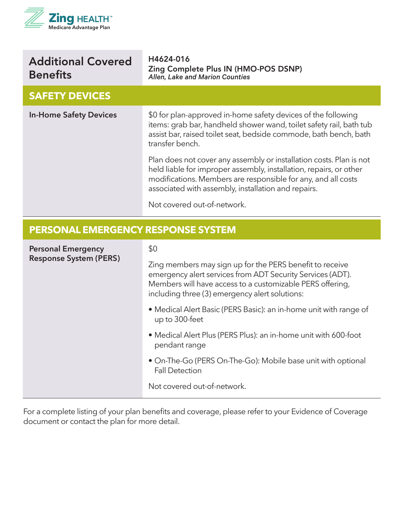

| <b>Additional Covered</b><br><b>Benefits</b> | H4624-016<br>Zing Complete Plus IN (HMO-POS DSNP)<br>Allen, Lake and Marion Counties                                                                                                                                                                                                             |
|----------------------------------------------|--------------------------------------------------------------------------------------------------------------------------------------------------------------------------------------------------------------------------------------------------------------------------------------------------|
| <b>SAFETY DEVICES</b>                        |                                                                                                                                                                                                                                                                                                  |
| <b>In-Home Safety Devices</b>                | \$0 for plan-approved in-home safety devices of the following<br>items: grab bar, handheld shower wand, toilet safety rail, bath tub<br>assist bar, raised toilet seat, bedside commode, bath bench, bath<br>transfer bench.                                                                     |
|                                              | Plan does not cover any assembly or installation costs. Plan is not<br>held liable for improper assembly, installation, repairs, or other<br>modifications. Members are responsible for any, and all costs<br>associated with assembly, installation and repairs.<br>Not covered out-of-network. |

#### **PERSONAL EMERGENCY RESPONSE SYSTEM**

| <b>Personal Emergency</b><br><b>Response System (PERS)</b> | \$0<br>Zing members may sign up for the PERS benefit to receive<br>emergency alert services from ADT Security Services (ADT).<br>Members will have access to a customizable PERS offering,<br>including three (3) emergency alert solutions: |
|------------------------------------------------------------|----------------------------------------------------------------------------------------------------------------------------------------------------------------------------------------------------------------------------------------------|
|                                                            | • Medical Alert Basic (PERS Basic): an in-home unit with range of<br>up to 300-feet                                                                                                                                                          |
|                                                            | • Medical Alert Plus (PERS Plus): an in-home unit with 600-foot<br>pendant range                                                                                                                                                             |
|                                                            | • On-The-Go (PERS On-The-Go): Mobile base unit with optional<br><b>Fall Detection</b>                                                                                                                                                        |
|                                                            | Not covered out-of-network.                                                                                                                                                                                                                  |

For a complete listing of your plan benefits and coverage, please refer to your Evidence of Coverage document or contact the plan for more detail.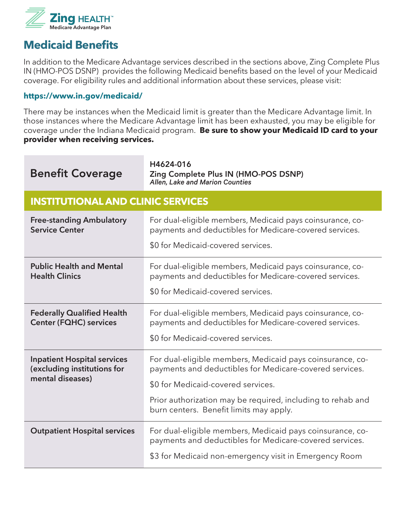

### **Medicaid Benefits**

In addition to the Medicare Advantage services described in the sections above, Zing Complete Plus IN (HMO-POS DSNP) provides the following Medicaid benefits based on the level of your Medicaid coverage. For eligibility rules and additional information about these services, please visit:

#### **https://www.in.gov/medicaid/**

There may be instances when the Medicaid limit is greater than the Medicare Advantage limit. In those instances where the Medicare Advantage limit has been exhausted, you may be eligible for coverage under the Indiana Medicaid program. **Be sure to show your Medicaid ID card to your provider when receiving services.**

| <b>Benefit Coverage</b>                                                               | H4624-016<br>Zing Complete Plus IN (HMO-POS DSNP)<br>Allen, Lake and Marion Counties                                                                       |
|---------------------------------------------------------------------------------------|------------------------------------------------------------------------------------------------------------------------------------------------------------|
| <b>INSTITUTIONAL AND CLINIC SERVICES</b>                                              |                                                                                                                                                            |
| <b>Free-standing Ambulatory</b><br><b>Service Center</b>                              | For dual-eligible members, Medicaid pays coinsurance, co-<br>payments and deductibles for Medicare-covered services.<br>\$0 for Medicaid-covered services. |
|                                                                                       |                                                                                                                                                            |
| <b>Public Health and Mental</b><br><b>Health Clinics</b>                              | For dual-eligible members, Medicaid pays coinsurance, co-<br>payments and deductibles for Medicare-covered services.                                       |
|                                                                                       | \$0 for Medicaid-covered services.                                                                                                                         |
| <b>Federally Qualified Health</b><br><b>Center (FQHC) services</b>                    | For dual-eligible members, Medicaid pays coinsurance, co-<br>payments and deductibles for Medicare-covered services.                                       |
|                                                                                       | \$0 for Medicaid-covered services.                                                                                                                         |
| <b>Inpatient Hospital services</b><br>(excluding institutions for<br>mental diseases) | For dual-eligible members, Medicaid pays coinsurance, co-<br>payments and deductibles for Medicare-covered services.                                       |
|                                                                                       | \$0 for Medicaid-covered services.                                                                                                                         |
|                                                                                       | Prior authorization may be required, including to rehab and<br>burn centers. Benefit limits may apply.                                                     |
| <b>Outpatient Hospital services</b>                                                   | For dual-eligible members, Medicaid pays coinsurance, co-<br>payments and deductibles for Medicare-covered services.                                       |
|                                                                                       | \$3 for Medicaid non-emergency visit in Emergency Room                                                                                                     |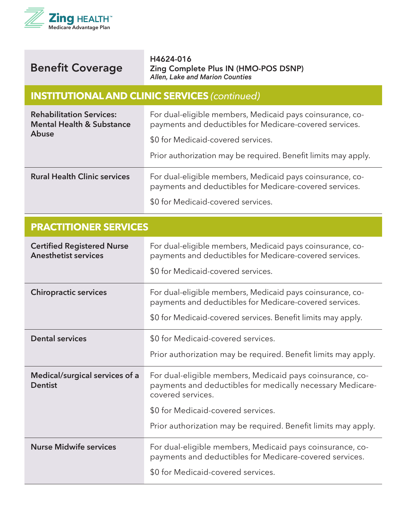



#### **INSTITUTIONAL AND CLINIC SERVICES** *(continued)*

| <b>Rehabilitation Services:</b><br><b>Mental Health &amp; Substance</b><br><b>Abuse</b> | For dual-eligible members, Medicaid pays coinsurance, co-<br>payments and deductibles for Medicare-covered services. |
|-----------------------------------------------------------------------------------------|----------------------------------------------------------------------------------------------------------------------|
|                                                                                         | \$0 for Medicaid-covered services.                                                                                   |
|                                                                                         | Prior authorization may be required. Benefit limits may apply.                                                       |
| <b>Rural Health Clinic services</b>                                                     | For dual-eligible members, Medicaid pays coinsurance, co-<br>payments and deductibles for Medicare-covered services. |
|                                                                                         | \$0 for Medicaid-covered services.                                                                                   |

| <b>PRACTITIONER SERVICES</b>                                     |                                                                                                                                                                                                                                                      |
|------------------------------------------------------------------|------------------------------------------------------------------------------------------------------------------------------------------------------------------------------------------------------------------------------------------------------|
| <b>Certified Registered Nurse</b><br><b>Anesthetist services</b> | For dual-eligible members, Medicaid pays coinsurance, co-<br>payments and deductibles for Medicare-covered services.<br>\$0 for Medicaid-covered services.                                                                                           |
| <b>Chiropractic services</b>                                     | For dual-eligible members, Medicaid pays coinsurance, co-<br>payments and deductibles for Medicare-covered services.<br>\$0 for Medicaid-covered services. Benefit limits may apply.                                                                 |
| <b>Dental services</b>                                           | \$0 for Medicaid-covered services.<br>Prior authorization may be required. Benefit limits may apply.                                                                                                                                                 |
| Medical/surgical services of a<br><b>Dentist</b>                 | For dual-eligible members, Medicaid pays coinsurance, co-<br>payments and deductibles for medically necessary Medicare-<br>covered services.<br>\$0 for Medicaid-covered services.<br>Prior authorization may be required. Benefit limits may apply. |
| <b>Nurse Midwife services</b>                                    | For dual-eligible members, Medicaid pays coinsurance, co-<br>payments and deductibles for Medicare-covered services.<br>\$0 for Medicaid-covered services.                                                                                           |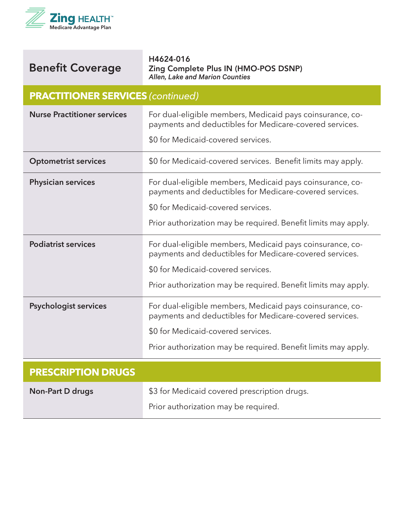

| <b>PRACTITIONER SERVICES (continued)</b> |                                                                                                                      |
|------------------------------------------|----------------------------------------------------------------------------------------------------------------------|
| <b>Nurse Practitioner services</b>       | For dual-eligible members, Medicaid pays coinsurance, co-<br>payments and deductibles for Medicare-covered services. |
|                                          | \$0 for Medicaid-covered services.                                                                                   |
| <b>Optometrist services</b>              | \$0 for Medicaid-covered services. Benefit limits may apply.                                                         |
| <b>Physician services</b>                | For dual-eligible members, Medicaid pays coinsurance, co-<br>payments and deductibles for Medicare-covered services. |
|                                          | \$0 for Medicaid-covered services.                                                                                   |
|                                          | Prior authorization may be required. Benefit limits may apply.                                                       |
| <b>Podiatrist services</b>               | For dual-eligible members, Medicaid pays coinsurance, co-<br>payments and deductibles for Medicare-covered services. |
|                                          | \$0 for Medicaid-covered services.                                                                                   |
|                                          | Prior authorization may be required. Benefit limits may apply.                                                       |
| <b>Psychologist services</b>             | For dual-eligible members, Medicaid pays coinsurance, co-<br>payments and deductibles for Medicare-covered services. |
|                                          | \$0 for Medicaid-covered services.                                                                                   |
|                                          | Prior authorization may be required. Benefit limits may apply.                                                       |
| <b>PRESCRIPTION DRUGS</b>                |                                                                                                                      |

| Non-Part D drugs | \$3 for Medicaid covered prescription drugs. |
|------------------|----------------------------------------------|
|                  | Prior authorization may be required.         |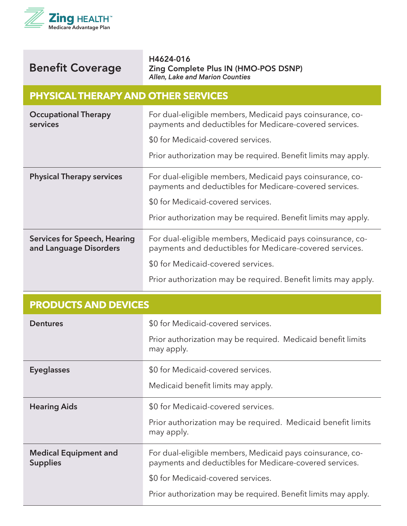

#### **PHYSICAL THERAPY AND OTHER SERVICES**

| <b>Occupational Therapy</b><br>services                | For dual-eligible members, Medicaid pays coinsurance, co-<br>payments and deductibles for Medicare-covered services.<br>\$0 for Medicaid-covered services.<br>Prior authorization may be required. Benefit limits may apply. |
|--------------------------------------------------------|------------------------------------------------------------------------------------------------------------------------------------------------------------------------------------------------------------------------------|
| <b>Physical Therapy services</b>                       | For dual-eligible members, Medicaid pays coinsurance, co-<br>payments and deductibles for Medicare-covered services.<br>\$0 for Medicaid-covered services.<br>Prior authorization may be required. Benefit limits may apply. |
| Services for Speech, Hearing<br>and Language Disorders | For dual-eligible members, Medicaid pays coinsurance, co-<br>payments and deductibles for Medicare-covered services.<br>\$0 for Medicaid-covered services.<br>Prior authorization may be required. Benefit limits may apply. |

| <b>PRODUCTS AND DEVICES</b>                     |                                                                                                                      |
|-------------------------------------------------|----------------------------------------------------------------------------------------------------------------------|
| <b>Dentures</b>                                 | \$0 for Medicaid-covered services.                                                                                   |
|                                                 | Prior authorization may be required. Medicaid benefit limits<br>may apply.                                           |
| <b>Eyeglasses</b>                               | \$0 for Medicaid-covered services.                                                                                   |
|                                                 | Medicaid benefit limits may apply.                                                                                   |
| <b>Hearing Aids</b>                             | \$0 for Medicaid-covered services.                                                                                   |
|                                                 | Prior authorization may be required. Medicaid benefit limits<br>may apply.                                           |
| <b>Medical Equipment and</b><br><b>Supplies</b> | For dual-eligible members, Medicaid pays coinsurance, co-<br>payments and deductibles for Medicare-covered services. |
|                                                 | \$0 for Medicaid-covered services.                                                                                   |
|                                                 | Prior authorization may be required. Benefit limits may apply.                                                       |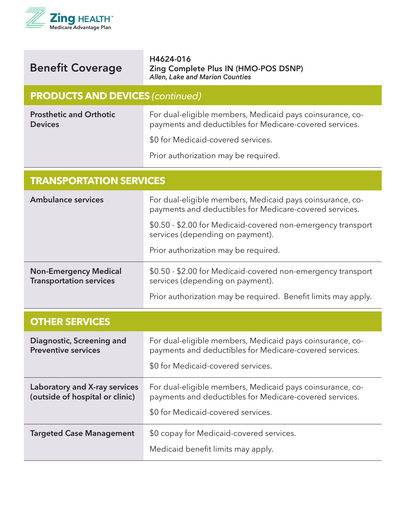

| <b>Benefit Coverage</b> |
|-------------------------|
|                         |

#### **PRODUCTS AND DEVICES** *(continued)*

**Prosthetic and Orthotic Devices**

For dual-eligible members, Medicaid pays coinsurance, copayments and deductibles for Medicare-covered services.

\$0 for Medicaid-covered services.

Prior authorization may be required.

| <b>TRANSPORTATION SERVICES</b>                                   |                                                                                                                      |  |
|------------------------------------------------------------------|----------------------------------------------------------------------------------------------------------------------|--|
| <b>Ambulance services</b>                                        | For dual-eligible members, Medicaid pays coinsurance, co-<br>payments and deductibles for Medicare-covered services. |  |
|                                                                  | \$0.50 - \$2.00 for Medicaid-covered non-emergency transport<br>services (depending on payment).                     |  |
|                                                                  | Prior authorization may be required.                                                                                 |  |
| <b>Non-Emergency Medical</b><br><b>Transportation services</b>   | \$0.50 - \$2.00 for Medicaid-covered non-emergency transport<br>services (depending on payment).                     |  |
|                                                                  | Prior authorization may be required. Benefit limits may apply.                                                       |  |
| <b>OTHER SERVICES</b>                                            |                                                                                                                      |  |
| <b>Diagnostic, Screening and</b><br><b>Preventive services</b>   | For dual-eligible members, Medicaid pays coinsurance, co-<br>payments and deductibles for Medicare-covered services. |  |
|                                                                  | \$0 for Medicaid-covered services.                                                                                   |  |
| Laboratory and X-ray services<br>(outside of hospital or clinic) |                                                                                                                      |  |
|                                                                  | For dual-eligible members, Medicaid pays coinsurance, co-<br>payments and deductibles for Medicare-covered services. |  |
|                                                                  | \$0 for Medicaid-covered services.                                                                                   |  |
| <b>Targeted Case Management</b>                                  | \$0 copay for Medicaid-covered services.                                                                             |  |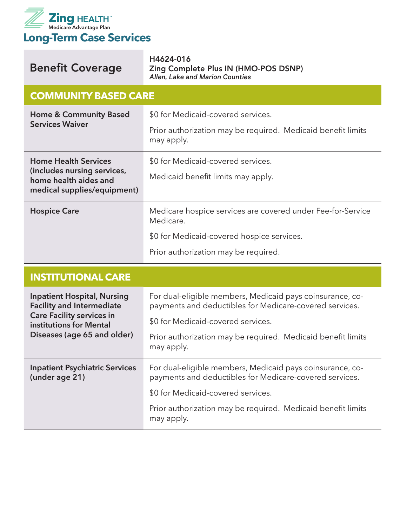

| <b>Benefit Coverage</b>                                                                                                                                              | H4624-016<br>Zing Complete Plus IN (HMO-POS DSNP)<br>Allen, Lake and Marion Counties                                 |  |
|----------------------------------------------------------------------------------------------------------------------------------------------------------------------|----------------------------------------------------------------------------------------------------------------------|--|
| <b>COMMUNITY BASED CARE</b>                                                                                                                                          |                                                                                                                      |  |
| <b>Home &amp; Community Based</b><br><b>Services Waiver</b>                                                                                                          | \$0 for Medicaid-covered services.                                                                                   |  |
|                                                                                                                                                                      | Prior authorization may be required. Medicaid benefit limits<br>may apply.                                           |  |
| <b>Home Health Services</b><br>(includes nursing services,<br>home health aides and<br>medical supplies/equipment)                                                   | \$0 for Medicaid-covered services.                                                                                   |  |
|                                                                                                                                                                      | Medicaid benefit limits may apply.                                                                                   |  |
| <b>Hospice Care</b>                                                                                                                                                  | Medicare hospice services are covered under Fee-for-Service<br>Medicare.                                             |  |
|                                                                                                                                                                      | \$0 for Medicaid-covered hospice services.                                                                           |  |
|                                                                                                                                                                      | Prior authorization may be required.                                                                                 |  |
| <b>INSTITUTIONAL CARE</b>                                                                                                                                            |                                                                                                                      |  |
| <b>Inpatient Hospital, Nursing</b><br><b>Facility and Intermediate</b><br><b>Care Facility services in</b><br>institutions for Mental<br>Diseases (age 65 and older) | For dual-eligible members, Medicaid pays coinsurance, co-<br>payments and deductibles for Medicare-covered services. |  |
|                                                                                                                                                                      | \$0 for Medicaid-covered services.                                                                                   |  |
|                                                                                                                                                                      | Prior authorization may be required. Medicaid benefit limits<br>may apply.                                           |  |
| <b>Inpatient Psychiatric Services</b><br>(under age 21)                                                                                                              | For dual-eligible members, Medicaid pays coinsurance, co-<br>payments and deductibles for Medicare-covered services. |  |
|                                                                                                                                                                      | \$0 for Medicaid-covered services.                                                                                   |  |
|                                                                                                                                                                      | Prior authorization may be required. Medicaid benefit limits<br>may apply.                                           |  |